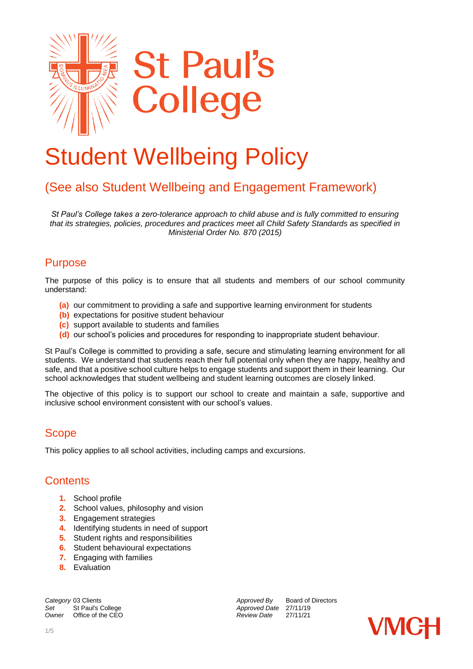

# Student Wellbeing Policy

# (See also Student Wellbeing and Engagement Framework)

*St Paul's College takes a zero-tolerance approach to child abuse and is fully committed to ensuring that its strategies, policies, procedures and practices meet all Child Safety Standards as specified in Ministerial Order No. 870 (2015)*

#### Purpose

The purpose of this policy is to ensure that all students and members of our school community understand:

- **(a)** our commitment to providing a safe and supportive learning environment for students
- **(b)** expectations for positive student behaviour
- **(c)** support available to students and families
- **(d)** our school's policies and procedures for responding to inappropriate student behaviour.

St Paul's College is committed to providing a safe, secure and stimulating learning environment for all students. We understand that students reach their full potential only when they are happy, healthy and safe, and that a positive school culture helps to engage students and support them in their learning. Our school acknowledges that student wellbeing and student learning outcomes are closely linked.

The objective of this policy is to support our school to create and maintain a safe, supportive and inclusive school environment consistent with our school's values.

#### **Scope**

This policy applies to all school activities, including camps and excursions.

#### **Contents**

- **1.** School profile
- **2.** School values, philosophy and vision
- **3.** Engagement strategies
- **4.** Identifying students in need of support
- **5.** Student rights and responsibilities
- **6.** Student behavioural expectations
- **7.** Engaging with families
- **8.** Evaluation

**Category** 03 Clients **Approved By** Board of Directors<br>
Set St Paul's College **Approved Date 27/11/19** Set St Paul's College *Set Approved Date* 27/11/19<br> *Approved Date* 27/11/19<br> *Aeview Date* 27/11/21 *Office of the CEO* 

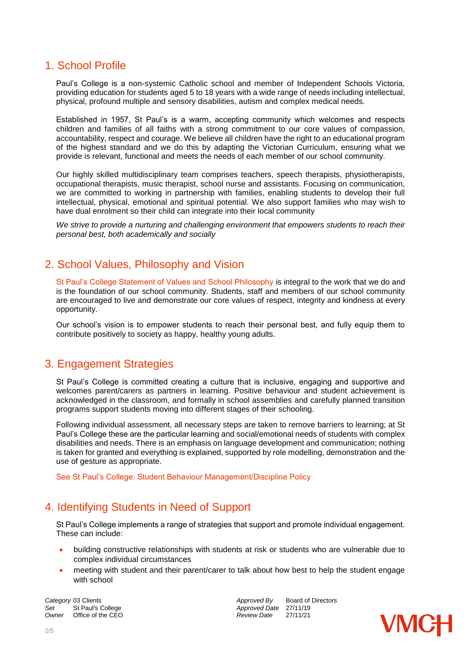#### 1. School Profile

Paul's College is a non-systemic Catholic school and member of Independent Schools Victoria, providing education for students aged 5 to 18 years with a wide range of needs including intellectual, physical, profound multiple and sensory disabilities, autism and complex medical needs.

Established in 1957, St Paul's is a warm, accepting community which welcomes and respects children and families of all faiths with a strong commitment to our core values of compassion, accountability, respect and courage. We believe all children have the right to an educational program of the highest standard and we do this by adapting the Victorian Curriculum, ensuring what we provide is relevant, functional and meets the needs of each member of our school community.

Our highly skilled multidisciplinary team comprises teachers, speech therapists, physiotherapists, occupational therapists, music therapist, school nurse and assistants. Focusing on communication, we are committed to working in partnership with families, enabling students to develop their full intellectual, physical, emotional and spiritual potential. We also support families who may wish to have dual enrolment so their child can integrate into their local community

*We strive to provide a nurturing and challenging environment that empowers students to reach their personal best, both academically and socially*

### 2. School Values, Philosophy and Vision

St Paul's College Statement of Values and School Philosophy is integral to the work that we do and is the foundation of our school community. Students, staff and members of our school community are encouraged to live and demonstrate our core values of respect, integrity and kindness at every opportunity.

Our school's vision is to empower students to reach their personal best, and fully equip them to contribute positively to society as happy, healthy young adults.

#### 3. Engagement Strategies

St Paul's College is committed creating a culture that is inclusive, engaging and supportive and welcomes parent/carers as partners in learning. Positive behaviour and student achievement is acknowledged in the classroom, and formally in school assemblies and carefully planned transition programs support students moving into different stages of their schooling.

Following individual assessment, all necessary steps are taken to remove barriers to learning; at St Paul's College these are the particular learning and social/emotional needs of students with complex disabilities and needs. There is an emphasis on language development and communication; nothing is taken for granted and everything is explained, supported by role modelling, demonstration and the use of gesture as appropriate.

See St Paul's College: Student Behaviour Management/Discipline Policy

# 4. Identifying Students in Need of Support

St Paul's College implements a range of strategies that support and promote individual engagement. These can include:

- building constructive relationships with students at risk or students who are vulnerable due to complex individual circumstances
- meeting with student and their parent/carer to talk about how best to help the student engage with school

**Category** 03 Clients **Approved By** Board of Directors *Approved By* Board of Directors *Approved Date* 27/11/19 *Set* St Paul's College *Approved Date* 27/11/19 *Owner* Office of the CEO

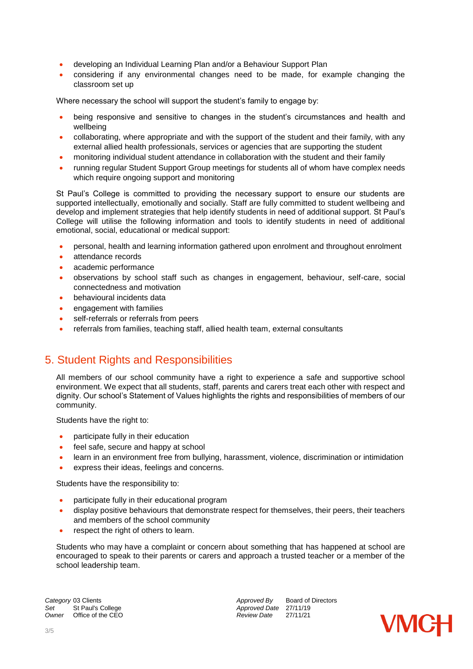- developing an Individual Learning Plan and/or a Behaviour Support Plan
- considering if any environmental changes need to be made, for example changing the classroom set up

Where necessary the school will support the student's family to engage by:

- being responsive and sensitive to changes in the student's circumstances and health and wellbeing
- collaborating, where appropriate and with the support of the student and their family, with any external allied health professionals, services or agencies that are supporting the student
- monitoring individual student attendance in collaboration with the student and their family
- running regular Student Support Group meetings for students all of whom have complex needs which require ongoing support and monitoring

St Paul's College is committed to providing the necessary support to ensure our students are supported intellectually, emotionally and socially. Staff are fully committed to student wellbeing and develop and implement strategies that help identify students in need of additional support. St Paul's College will utilise the following information and tools to identify students in need of additional emotional, social, educational or medical support:

- personal, health and learning information gathered upon enrolment and throughout enrolment
- attendance records
- academic performance
- observations by school staff such as changes in engagement, behaviour, self-care, social connectedness and motivation
- behavioural incidents data
- **•** engagement with families
- self-referrals or referrals from peers
- referrals from families, teaching staff, allied health team, external consultants

# 5. Student Rights and Responsibilities

All members of our school community have a right to experience a safe and supportive school environment. We expect that all students, staff, parents and carers treat each other with respect and dignity. Our school's Statement of Values highlights the rights and responsibilities of members of our community.

Students have the right to:

- participate fully in their education
- feel safe, secure and happy at school
- learn in an environment free from bullying, harassment, violence, discrimination or intimidation
- express their ideas, feelings and concerns.

Students have the responsibility to:

- participate fully in their educational program
- display positive behaviours that demonstrate respect for themselves, their peers, their teachers and members of the school community
- respect the right of others to learn.

Students who may have a complaint or concern about something that has happened at school are encouraged to speak to their parents or carers and approach a trusted teacher or a member of the school leadership team.

**Category** 03 Clients **Approved By** Board of Directors *Approved By* Board of Directors *Approved Date* 27/11/19 *Set* St Paul's College *Approved Date* 27/11/19 *Owner* Office of the CEO

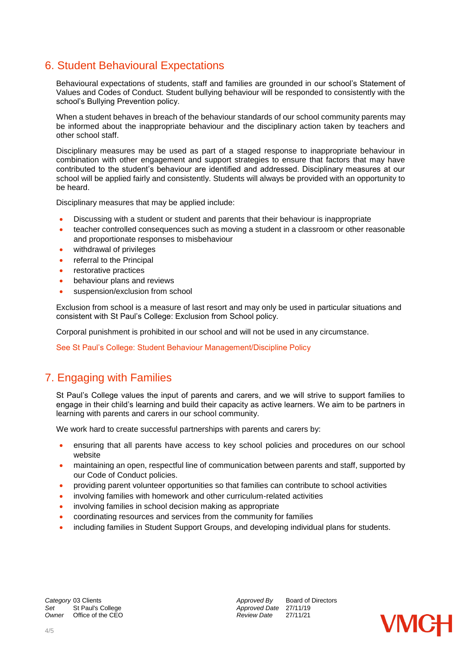# 6. Student Behavioural Expectations

Behavioural expectations of students, staff and families are grounded in our school's Statement of Values and Codes of Conduct. Student bullying behaviour will be responded to consistently with the school's Bullying Prevention policy.

When a student behaves in breach of the behaviour standards of our school community parents may be informed about the inappropriate behaviour and the disciplinary action taken by teachers and other school staff.

Disciplinary measures may be used as part of a staged response to inappropriate behaviour in combination with other engagement and support strategies to ensure that factors that may have contributed to the student's behaviour are identified and addressed. Disciplinary measures at our school will be applied fairly and consistently. Students will always be provided with an opportunity to be heard.

Disciplinary measures that may be applied include:

- Discussing with a student or student and parents that their behaviour is inappropriate
- teacher controlled consequences such as moving a student in a classroom or other reasonable and proportionate responses to misbehaviour
- withdrawal of privileges
- referral to the Principal
- restorative practices
- behaviour plans and reviews
- **suspension/exclusion from school**

Exclusion from school is a measure of last resort and may only be used in particular situations and consistent with St Paul's College: Exclusion from School policy.

Corporal punishment is prohibited in our school and will not be used in any circumstance.

See St Paul's College: Student Behaviour Management/Discipline Policy

# 7. Engaging with Families

St Paul's College values the input of parents and carers, and we will strive to support families to engage in their child's learning and build their capacity as active learners. We aim to be partners in learning with parents and carers in our school community.

We work hard to create successful partnerships with parents and carers by:

- ensuring that all parents have access to key school policies and procedures on our school website
- maintaining an open, respectful line of communication between parents and staff, supported by our Code of Conduct policies.
- providing parent volunteer opportunities so that families can contribute to school activities
- involving families with homework and other curriculum-related activities
- involving families in school decision making as appropriate
- coordinating resources and services from the community for families
- including families in Student Support Groups, and developing individual plans for students.

**Category** 03 Clients **Approved By** Board of Directors *Approved By* Board of Directors *Approved Date* 27/11/19 *Set* St Paul's College *Approved Date* 27/11/19 *Owner* Office of the CEO